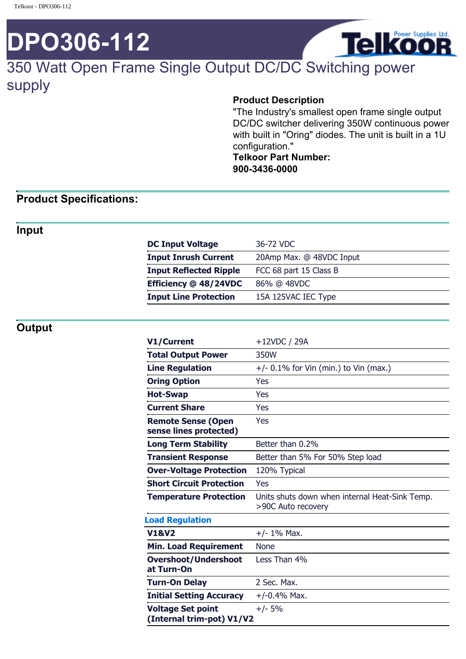# **DPO306-112**



# 350 Watt Open Frame Single Output DC/DC Switching power supply

#### **Product Description**

"The Industry's smallest open frame single output DC/DC switcher delivering 350W continuous power with built in "Oring" diodes. The unit is built in a 1U configuration."

**Telkoor Part Number: 900-3436-0000**

### **Product Specifications:**

#### **Input**

| 20Amp Max. @ 48VDC Input<br><b>Input Inrush Current</b><br>FCC 68 part 15 Class B<br><b>Input Reflected Ripple</b><br>Efficiency @ 48/24VDC<br>86% @ 48VDC<br><b>Input Line Protection</b><br>15A 125VAC IEC Type | <b>DC Input Voltage</b> | 36-72 VDC |
|-------------------------------------------------------------------------------------------------------------------------------------------------------------------------------------------------------------------|-------------------------|-----------|
|                                                                                                                                                                                                                   |                         |           |
|                                                                                                                                                                                                                   |                         |           |
|                                                                                                                                                                                                                   |                         |           |
|                                                                                                                                                                                                                   |                         |           |

### **Output**

| V1/Current                                            | +12VDC / 29A                                                         |
|-------------------------------------------------------|----------------------------------------------------------------------|
| <b>Total Output Power</b>                             | 350W                                                                 |
| <b>Line Regulation</b>                                | $+/-$ 0.1% for Vin (min.) to Vin (max.)                              |
| <b>Oring Option</b>                                   | Yes                                                                  |
| <b>Hot-Swap</b>                                       | Yes                                                                  |
| <b>Current Share</b>                                  | Yes                                                                  |
| <b>Remote Sense (Open</b><br>sense lines protected)   | Yes                                                                  |
| <b>Long Term Stability</b>                            | Better than 0.2%                                                     |
| <b>Transient Response</b>                             | Better than 5% For 50% Step load                                     |
| <b>Over-Voltage Protection</b>                        | 120% Typical                                                         |
| <b>Short Circuit Protection</b>                       | Yes                                                                  |
| <b>Temperature Protection</b>                         | Units shuts down when internal Heat-Sink Temp.<br>>90C Auto recovery |
| <b>Load Regulation</b>                                |                                                                      |
| <b>V1&amp;V2</b>                                      | $+/- 1\%$ Max.                                                       |
| <b>Min. Load Requirement</b>                          | <b>None</b>                                                          |
| <b>Overshoot/Undershoot</b><br>at Turn-On             | Less Than 4%                                                         |
| <b>Turn-On Delay</b>                                  | 2 Sec. Max.                                                          |
| <b>Initial Setting Accuracy</b>                       | $+/-0.4%$ Max.                                                       |
| <b>Voltage Set point</b><br>(Internal trim-pot) V1/V2 | $+/- 5%$                                                             |
|                                                       |                                                                      |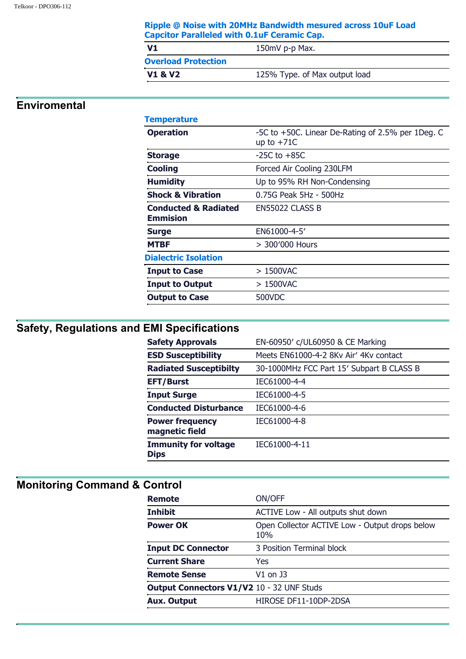| Ripple @ Noise with 20MHz Bandwidth mesured across 10uF Load |
|--------------------------------------------------------------|
| <b>Capcitor Paralleled with 0.1uF Ceramic Cap.</b>           |

| V1                         | 150mV p-p Max.                |
|----------------------------|-------------------------------|
| <b>Overload Protection</b> |                               |
| <b>V1 &amp; V2</b>         | 125% Type. of Max output load |

### **Enviromental**

| <b>Temperature</b>                                 |                                                                   |
|----------------------------------------------------|-------------------------------------------------------------------|
| <b>Operation</b>                                   | -5C to +50C. Linear De-Rating of 2.5% per 1Deg. C<br>up to $+71C$ |
| <b>Storage</b>                                     | $-25C$ to $+85C$                                                  |
| <b>Cooling</b>                                     | Forced Air Cooling 230LFM                                         |
| <b>Humidity</b>                                    | Up to 95% RH Non-Condensing                                       |
| <b>Shock &amp; Vibration</b>                       | 0.75G Peak 5Hz - 500Hz                                            |
| <b>Conducted &amp; Radiated</b><br><b>Emmision</b> | EN55022 CLASS B                                                   |
| <b>Surge</b>                                       | EN61000-4-5'                                                      |
| <b>MTBF</b>                                        | > 300'000 Hours                                                   |
| <b>Dialectric Isolation</b>                        |                                                                   |
| <b>Input to Case</b>                               | $>1500$ VAC                                                       |
| <b>Input to Output</b>                             | $>1500$ VAC                                                       |
| <b>Output to Case</b>                              | 500VDC                                                            |

# **Safety, Regulations and EMI Specifications**

| <b>Safety Approvals</b>                    | EN-60950' c/UL60950 & CE Marking          |
|--------------------------------------------|-------------------------------------------|
| <b>ESD Susceptibility</b>                  | Meets EN61000-4-2 8Ky Air' 4Ky contact    |
| <b>Radiated Susceptibilty</b>              | 30-1000MHz FCC Part 15' Subpart B CLASS B |
| <b>EFT/Burst</b>                           | IEC61000-4-4                              |
| <b>Input Surge</b>                         | IEC61000-4-5                              |
| <b>Conducted Disturbance</b>               | IEC61000-4-6                              |
| <b>Power frequency</b><br>magnetic field   | IEC61000-4-8                              |
| <b>Immunity for voltage</b><br><b>Dips</b> | IEC61000-4-11                             |
|                                            |                                           |

## **Monitoring Command & Control**

| <b>Remote</b>                                    | ON/OFF                                                |
|--------------------------------------------------|-------------------------------------------------------|
| <b>Inhibit</b>                                   | ACTIVE Low - All outputs shut down                    |
| <b>Power OK</b>                                  | Open Collector ACTIVE Low - Output drops below<br>10% |
| <b>Input DC Connector</b>                        | 3 Position Terminal block                             |
| <b>Current Share</b>                             | Yes                                                   |
| <b>Remote Sense</b>                              | V1 on J3                                              |
| <b>Output Connectors V1/V2 10 - 32 UNF Studs</b> |                                                       |
| <b>Aux. Output</b>                               | HIROSE DF11-10DP-2DSA                                 |
|                                                  |                                                       |